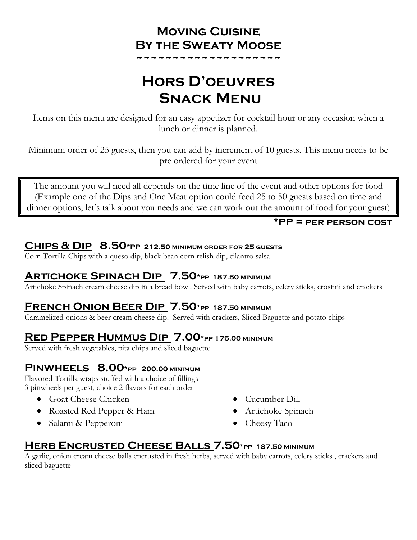## **Moving Cuisine By the Sweaty Moose**

**~~~~~~~~~~~~~~~~~~~~**

# **Hors D'oeuvres SNACK MENU**

Items on this menu are designed for an easy appetizer for cocktail hour or any occasion when a lunch or dinner is planned.

Minimum order of 25 guests, then you can add by increment of 10 guests. This menu needs to be pre ordered for your event

The amount you will need all depends on the time line of the event and other options for food (Example one of the Dips and One Meat option could feed 25 to 50 guests based on time and dinner options, let's talk about you needs and we can work out the amount of food for your guest)

#### **\*PP = per person cost**

#### **Chips & Dip 8.50\*PP 212.50 minimum order for 25 guests**

Corn Tortilla Chips with a queso dip, black bean corn relish dip, cilantro salsa

## **Artichoke Spinach Dip 7.50\*pp 187.50 minimum**

Artichoke Spinach cream cheese dip in a bread bowl. Served with baby carrots, celery sticks, crostini and crackers

## **French Onion Beer Dip 7.50\*pp 187.50 minimum**

Caramelized onions & beer cream cheese dip. Served with crackers, Sliced Baguette and potato chips

#### **Red Pepper Hummus Dip 7.00\*pp 175.00 minimum**

Served with fresh vegetables, pita chips and sliced baguette

#### **Pinwheels 8.00\*pp 200.00 minimum**

Flavored Tortilla wraps stuffed with a choice of fillings 3 pinwheels per guest, choice 2 flavors for each order

- Goat Cheese Chicken
- Roasted Red Pepper & Ham
- Salami & Pepperoni
- Cucumber Dill
- Artichoke Spinach
- Cheesy Taco

## **Herb Encrusted Cheese Balls 7.50\*pp 187.50 minimum**

A garlic, onion cream cheese balls encrusted in fresh herbs, served with baby carrots, celery sticks , crackers and sliced baguette